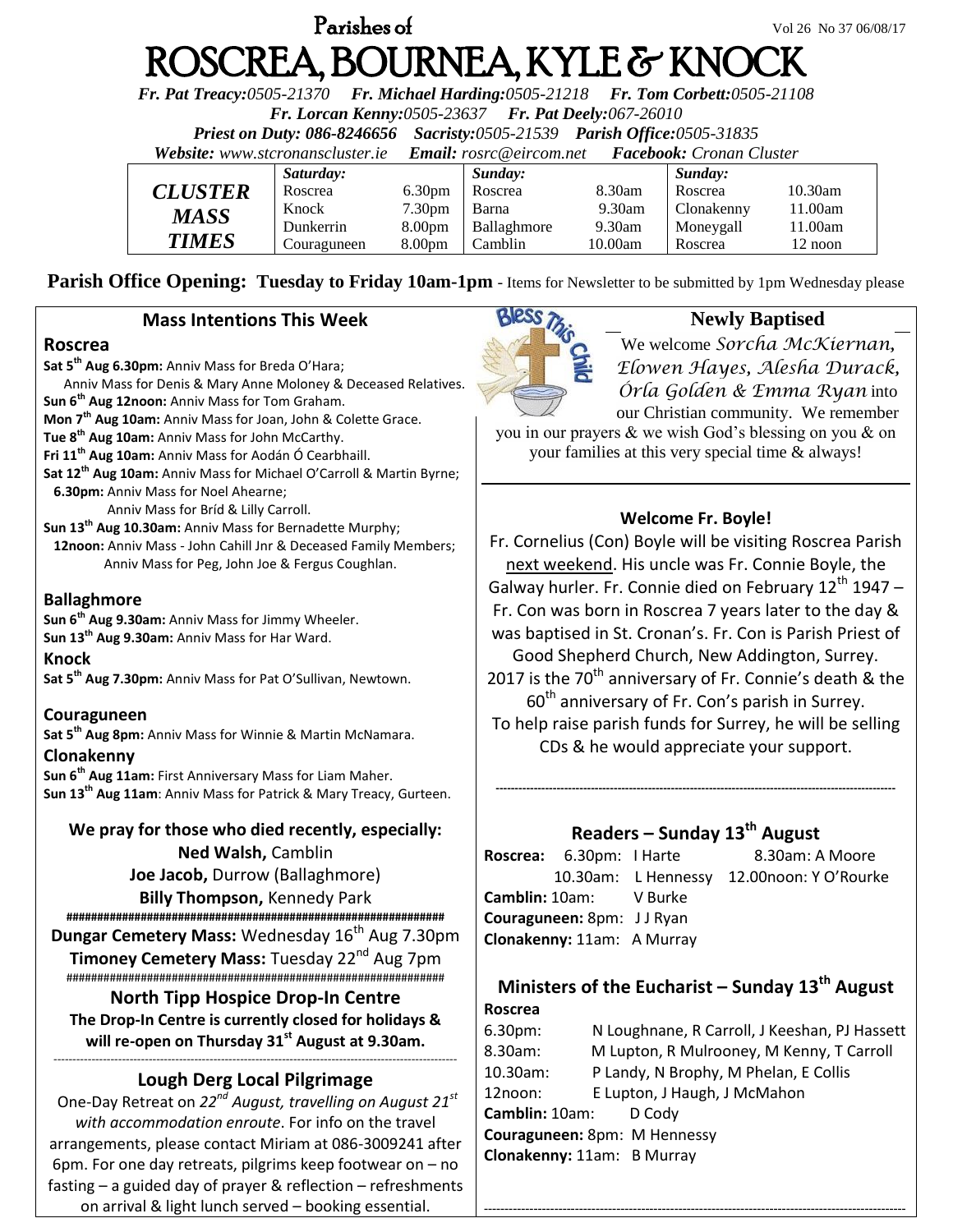# **Parishes of**  $Vol 26 No 37 06/08/17$ ROSCREA, BOURNEA, KYLE & KNOCK

*Fr. Pat Treacy:0505-21370 Fr. Michael Harding:0505-21218 Fr. Tom Corbett:0505-21108* 

*Fr. Lorcan Kenny:0505-23637 Fr. Pat Deely:067-26010* 

*Priest on Duty: 086-8246656 Sacristy:0505-21539 Parish Office:0505-31835* 

*Website: [www.stcronanscluster.ie](http://www.stcronanscluster.ie/) Email: [rosrc@eircom.net](mailto:rosrc@eircom.net) Facebook: Cronan Cluster* 

|                | Saturday:   |                    | Sunday:     |         | Sunday:    |            |
|----------------|-------------|--------------------|-------------|---------|------------|------------|
| <b>CLUSTER</b> | Roscrea     | 6.30 <sub>pm</sub> | Roscrea     | 8.30am  | Roscrea    | $10.30$ am |
| MASS           | Knock       | 7.30pm             | Barna       | 9.30am  | Clonakenny | 11.00am    |
|                | Dunkerrin   | 8.00 <sub>pm</sub> | Ballaghmore | 9.30am  | Moneygall  | 11.00am    |
| <b>TIMES</b>   | Couraguneen | 8.00 <sub>pm</sub> | Camblin     | 10.00am | Roscrea    | 12 noon    |

**Parish Office Opening: Tuesday to Friday 10am-1pm** - Items for Newsletter to be submitted by 1pm Wednesday please

#### **Mass Intentions This Week**

#### **Roscrea**

- **Sat 5th Aug 6.30pm:** Anniv Mass for Breda O'Hara;
- Anniv Mass for Denis & Mary Anne Moloney & Deceased Relatives. **Sun 6th Aug 12noon:** Anniv Mass for Tom Graham.
- **Mon 7th Aug 10am:** Anniv Mass for Joan, John & Colette Grace.
- **Tue 8th Aug 10am:** Anniv Mass for John McCarthy.
- **Fri 11th Aug 10am:** Anniv Mass for Aodán Ó Cearbhaill.
- **Sat 12th Aug 10am:** Anniv Mass for Michael O'Carroll & Martin Byrne; **6.30pm:** Anniv Mass for Noel Ahearne;

Anniv Mass for Bríd & Lilly Carroll.

**Sun 13th Aug 10.30am:** Anniv Mass for Bernadette Murphy;

 **12noon:** Anniv Mass - John Cahill Jnr & Deceased Family Members; Anniv Mass for Peg, John Joe & Fergus Coughlan.

## **Ballaghmore**

**Sun 6th Aug 9.30am:** Anniv Mass for Jimmy Wheeler. **Sun 13th Aug 9.30am:** Anniv Mass for Har Ward. **Knock**

**Sat 5th Aug 7.30pm:** Anniv Mass for Pat O'Sullivan, Newtown.

#### **Couraguneen**

**Sat 5th Aug 8pm:** Anniv Mass for Winnie & Martin McNamara.

**Clonakenny**

**Sun 6th Aug 11am:** First Anniversary Mass for Liam Maher. **Sun 13th Aug 11am**: Anniv Mass for Patrick & Mary Treacy, Gurteen.

## **We pray for those who died recently, especially: Ned Walsh,** Camblin **Joe Jacob,** Durrow (Ballaghmore) **Billy Thompson,** Kennedy Park **#############################################################**

**Dungar Cemetery Mass: Wednesday 16<sup>th</sup> Aug 7.30pm Timoney Cemetery Mass:** Tuesday 22nd Aug 7pm #############################################################

**North Tipp Hospice Drop-In Centre The Drop-In Centre is currently closed for holidays & will re-open on Thursday 31st August at 9.30am.**

#### ---------------------------------------------------------------------------------------------------------- **Lough Derg Local Pilgrimage**

One-Day Retreat on *22nd August, travelling on August 21st with accommodation enroute*. For info on the travel arrangements, please contact Miriam at 086-3009241 after 6pm. For one day retreats, pilgrims keep footwear on – no fasting – a guided day of prayer & reflection – refreshments on arrival & light lunch served – booking essential.



# **Newly Baptised**

We welcome *Sorcha McKiernan, Elowen Hayes, Alesha Durack, Órla Golden & Emma Ryan* into

our Christian community. We remember you in our prayers & we wish God's blessing on you & on your families at this very special time & always!

#### **Welcome Fr. Boyle!**

Fr. Cornelius (Con) Boyle will be visiting Roscrea Parish next weekend. His uncle was Fr. Connie Boyle, the Galway hurler. Fr. Connie died on February  $12^{th}$  1947 – Fr. Con was born in Roscrea 7 years later to the day & was baptised in St. Cronan's. Fr. Con is Parish Priest of Good Shepherd Church, New Addington, Surrey. 2017 is the 70<sup>th</sup> anniversary of Fr. Connie's death & the  $60<sup>th</sup>$  anniversary of Fr. Con's parish in Surrey.

To help raise parish funds for Surrey, he will be selling CDs & he would appreciate your support.

**---------------------------------------------------------------------------------------------------------**

# **Readers – Sunday 13th August**

|                               | <b>Roscrea:</b> 6.30pm: I Harte | 8.30am: A Moore                           |
|-------------------------------|---------------------------------|-------------------------------------------|
|                               |                                 | 10.30am: L Hennessy 12.00noon: Y O'Rourke |
| <b>Camblin:</b> 10am: V Burke |                                 |                                           |
| Couraguneen: 8pm: JJ Ryan     |                                 |                                           |
| Clonakenny: 11am: A Murray    |                                 |                                           |

# **Ministers of the Eucharist – Sunday 13th August Roscrea**

| 6.30pm:               | N Loughnane, R Carroll, J Keeshan, PJ Hassett |  |  |  |
|-----------------------|-----------------------------------------------|--|--|--|
| 8.30am:               | M Lupton, R Mulrooney, M Kenny, T Carroll     |  |  |  |
| 10.30am:              | P Landy, N Brophy, M Phelan, E Collis         |  |  |  |
| 12noon:               | E Lupton, J Haugh, J McMahon                  |  |  |  |
| <b>Camblin:</b> 10am: | D Codv                                        |  |  |  |
|                       | Couraguneen: 8pm: M Hennessy                  |  |  |  |
|                       | <b>Clonakenny: 11am: B Murray</b>             |  |  |  |

**------------------------------------------------------------------------------------------------------**